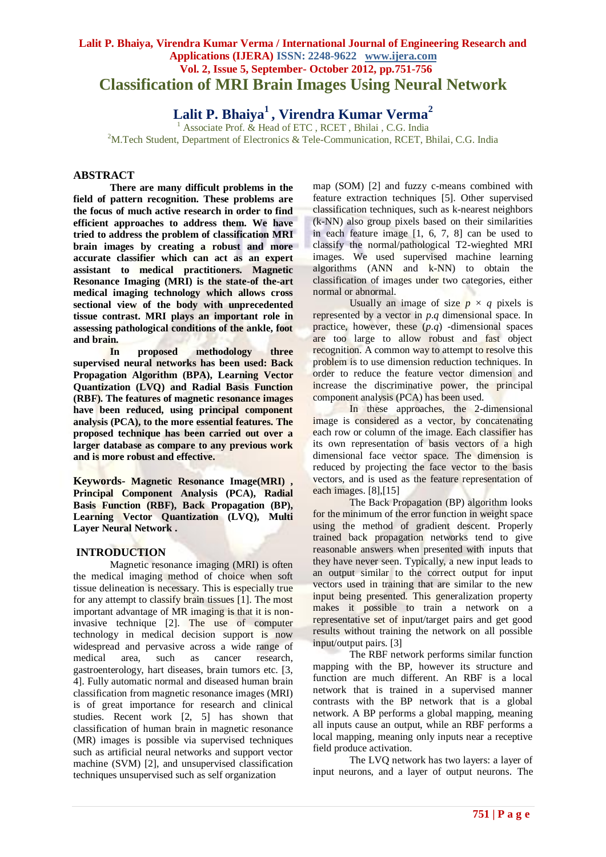# **Lalit P. Bhaiya, Virendra Kumar Verma / International Journal of Engineering Research and Applications (IJERA) ISSN: 2248-9622 www.ijera.com Vol. 2, Issue 5, September- October 2012, pp.751-756 Classification of MRI Brain Images Using Neural Network**

**Lalit P. Bhaiya<sup>1</sup> , Virendra Kumar Verma<sup>2</sup>**

<sup>1</sup> Associate Prof. & Head of ETC, RCET, Bhilai, C.G. India <sup>2</sup>M.Tech Student, Department of Electronics & Tele-Communication, RCET, Bhilai, C.G. India

# **ABSTRACT**

**There are many difficult problems in the field of pattern recognition. These problems are the focus of much active research in order to find efficient approaches to address them. We have tried to address the problem of classification MRI brain images by creating a robust and more accurate classifier which can act as an expert assistant to medical practitioners. Magnetic Resonance Imaging (MRI) is the state-of the-art medical imaging technology which allows cross sectional view of the body with unprecedented tissue contrast. MRI plays an important role in assessing pathological conditions of the ankle, foot and brain.** 

**In proposed methodology three supervised neural networks has been used: Back Propagation Algorithm (BPA), Learning Vector Quantization (LVQ) and Radial Basis Function (RBF). The features of magnetic resonance images have been reduced, using principal component analysis (PCA), to the more essential features. The proposed technique has been carried out over a larger database as compare to any previous work and is more robust and effective.**

**Keywords- Magnetic Resonance Image(MRI) , Principal Component Analysis (PCA), Radial Basis Function (RBF), Back Propagation (BP), Learning Vector Quantization (LVQ), Multi Layer Neural Network .**

#### **INTRODUCTION**

Magnetic resonance imaging (MRI) is often the medical imaging method of choice when soft tissue delineation is necessary. This is especially true for any attempt to classify brain tissues [1]. The most important advantage of MR imaging is that it is noninvasive technique [2]. The use of computer technology in medical decision support is now widespread and pervasive across a wide range of medical area, such as cancer research, medical area, such as cancer research, gastroenterology, hart diseases, brain tumors etc. [3, 4]. Fully automatic normal and diseased human brain classification from magnetic resonance images (MRI) is of great importance for research and clinical studies. Recent work [2, 5] has shown that classification of human brain in magnetic resonance (MR) images is possible via supervised techniques such as artificial neural networks and support vector machine (SVM) [2], and unsupervised classification techniques unsupervised such as self organization

map (SOM) [2] and fuzzy c-means combined with feature extraction techniques [5]. Other supervised classification techniques, such as k-nearest neighbors (k-NN) also group pixels based on their similarities in each feature image [1, 6, 7, 8] can be used to classify the normal/pathological T2-wieghted MRI images. We used supervised machine learning algorithms  $(ANN \tand \t k-NN)$  to obtain the classification of images under two categories, either normal or abnormal.

Usually an image of size  $p \times q$  pixels is represented by a vector in *p*.*q* dimensional space. In practice, however, these (*p*.*q*) -dimensional spaces are too large to allow robust and fast object recognition. A common way to attempt to resolve this problem is to use dimension reduction techniques. In order to reduce the feature vector dimension and increase the discriminative power, the principal component analysis (PCA) has been used.

In these approaches, the 2-dimensional image is considered as a vector, by concatenating each row or column of the image. Each classifier has its own representation of basis vectors of a high dimensional face vector space. The dimension is reduced by projecting the face vector to the basis vectors, and is used as the feature representation of each images. [8],[15]

The Back Propagation (BP) algorithm looks for the minimum of the error function in weight space using the method of gradient descent. Properly trained back propagation networks tend to give reasonable answers when presented with inputs that they have never seen. Typically, a new input leads to an output similar to the correct output for input vectors used in training that are similar to the new input being presented. This generalization property makes it possible to train a network on a representative set of input/target pairs and get good results without training the network on all possible input/output pairs. [3]

The RBF network performs similar function mapping with the BP, however its structure and function are much different. An RBF is a local network that is trained in a supervised manner contrasts with the BP network that is a global network. A BP performs a global mapping, meaning all inputs cause an output, while an RBF performs a local mapping, meaning only inputs near a receptive field produce activation.

The LVQ network has two layers: a layer of input neurons, and a layer of output neurons. The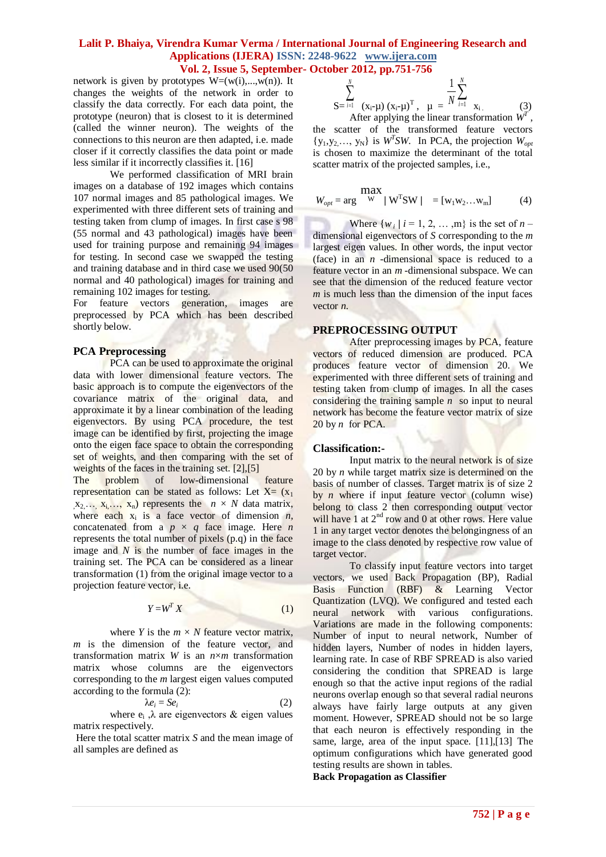network is given by prototypes  $W=(w(i),...,w(n))$ . It changes the weights of the network in order to classify the data correctly. For each data point, the prototype (neuron) that is closest to it is determined (called the winner neuron). The weights of the connections to this neuron are then adapted, i.e. made closer if it correctly classifies the data point or made less similar if it incorrectly classifies it. [16]

We performed classification of MRI brain images on a database of 192 images which contains 107 normal images and 85 pathological images. We experimented with three different sets of training and testing taken from clump of images. In first case s 98 (55 normal and 43 pathological) images have been used for training purpose and remaining 94 images for testing. In second case we swapped the testing and training database and in third case we used 90(50 normal and 40 pathological) images for training and remaining 102 images for testing.

For feature vectors generation, images are preprocessed by PCA which has been described shortly below.

#### **PCA Preprocessing**

PCA can be used to approximate the original data with lower dimensional feature vectors. The basic approach is to compute the eigenvectors of the covariance matrix of the original data, and approximate it by a linear combination of the leading eigenvectors. By using PCA procedure, the test image can be identified by first, projecting the image onto the eigen face space to obtain the corresponding set of weights, and then comparing with the set of weights of the faces in the training set. [2], [5]

The problem of low-dimensional feature representation can be stated as follows: Let  $X = (x_1)$  $x_2, \ldots, x_i, \ldots, x_n$  represents the  $n \times N$  data matrix, where each  $x_i$  is a face vector of dimension  $n$ , concatenated from a  $p \times q$  face image. Here *n* represents the total number of pixels (p.q) in the face image and *N* is the number of face images in the training set. The PCA can be considered as a linear transformation (1) from the original image vector to a projection feature vector, i.e.

$$
Y = W^T X \tag{1}
$$

where *Y* is the  $m \times N$  feature vector matrix, *m* is the dimension of the feature vector, and transformation matrix  $W$  is an  $n \times m$  transformation matrix whose columns are the eigenvectors corresponding to the *m* largest eigen values computed according to the formula (2):

$$
\lambda e_i = S e_i \tag{2}
$$

where  $e_i$ ,  $\lambda$  are eigenvectors  $\&$  eigen values matrix respectively.

Here the total scatter matrix *S* and the mean image of all samples are defined as

$$
S = \sum_{i=1}^{N} (x_i - \mu) (x_i - \mu)^T, \quad \mu = \frac{1}{N} \sum_{i=1}^{N} (3)
$$

After applying the linear transformation  $W<sup>T</sup>$ , the scatter of the transformed feature vectors  $\{y_1, y_2, \ldots, y_N\}$  is *W<sup>T</sup>SW*. In PCA, the projection  $W_{\text{opp}}$ is chosen to maximize the determinant of the total scatter matrix of the projected samples, i.e.,

$$
W_{opt} = \arg \frac{\max}{W} |W^T S W| = [w_1 w_2 ... w_m]
$$
 (4)

Where  $\{w_i \mid i = 1, 2, ..., m\}$  is the set of *n* – dimensional eigenvectors of *S* corresponding to the *m*  largest eigen values. In other words, the input vector (face) in an  $n$  -dimensional space is reduced to a feature vector in an *m* -dimensional subspace. We can see that the dimension of the reduced feature vector  *is much less than the dimension of the input faces* vector *n.*

#### **PREPROCESSING OUTPUT**

After preprocessing images by PCA, feature vectors of reduced dimension are produced. PCA produces feature vector of dimension 20. We experimented with three different sets of training and testing taken from clump of images. In all the cases considering the training sample *n* so input to neural network has become the feature vector matrix of size 20 by *n* for PCA.

#### **Classification:-**

Input matrix to the neural network is of size 20 by *n* while target matrix size is determined on the basis of number of classes. Target matrix is of size 2 by *n* where if input feature vector (column wise) belong to class 2 then corresponding output vector will have 1 at  $2<sup>nd</sup>$  row and 0 at other rows. Here value 1 in any target vector denotes the belongingness of an image to the class denoted by respective row value of target vector.

To classify input feature vectors into target vectors, we used Back Propagation (BP), Radial Basis Function (RBF) & Learning Vector Quantization (LVQ). We configured and tested each neural network with various configurations. Variations are made in the following components: Number of input to neural network, Number of hidden layers, Number of nodes in hidden layers, learning rate. In case of RBF SPREAD is also varied considering the condition that SPREAD is large enough so that the active input regions of the radial neurons overlap enough so that several radial neurons always have fairly large outputs at any given moment. However, SPREAD should not be so large that each neuron is effectively responding in the same, large, area of the input space. [11],[13] The optimum configurations which have generated good testing results are shown in tables.

**Back Propagation as Classifier**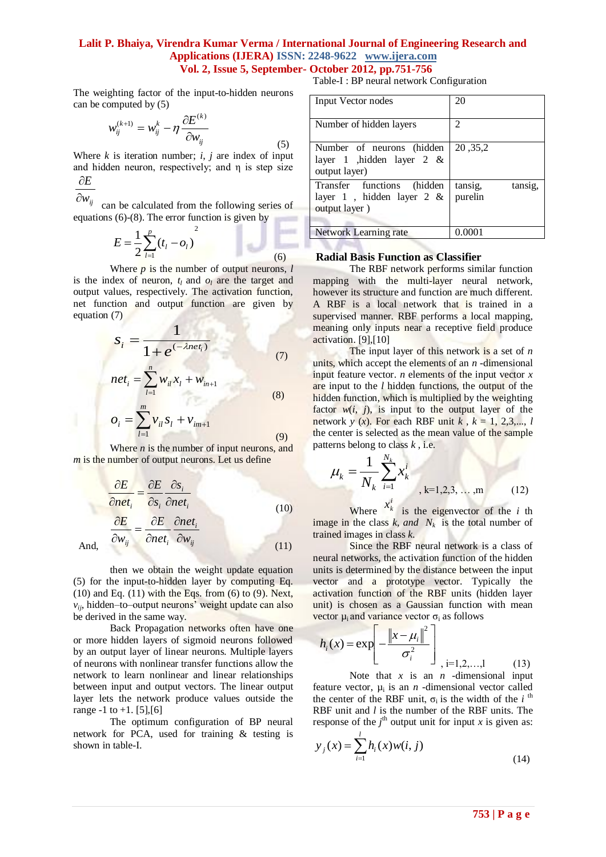(5)

The weighting factor of the input-to-hidden neurons can be computed by (5)

$$
w_{ij}^{(k+1)} = w_{ij}^k - \eta \frac{\partial E^{(k)}}{\partial w_{ij}}
$$

Where  $k$  is iteration number;  $i, j$  are index of input and hidden neuron, respectively; and η is step size  $\partial E$ 

 $\partial w_{ij}$ 

can be calculated from the following series of equations (6)-(8). The error function is given by

$$
E = \frac{1}{2} \sum_{l=1}^{p} (t_l - o_l) \tag{6}
$$

Where *p* is the number of output neurons, *l*  is the index of neuron,  $t_l$  and  $o_l$  are the target and output values, respectively. The activation function, net function and output function are given by equation  $(7)$ 

$$
S_i = \frac{1}{1 + e^{(-\lambda n e t_i)}}net_i = \sum_{l=1}^{n} w_{il} x_l + w_{in+1}
$$
 (7)

$$
O_i = \sum_{l=1}^{m} v_{il} S_l + v_{im+1}
$$
\n(9)

Where *n* is the number of input neurons, and  $m$  is the number of output neurons. Let us define

$$
\frac{\partial E}{\partial net_i} = \frac{\partial E}{\partial s_i} \frac{\partial s_i}{\partial net_i}
$$
\nAnd, 
$$
\frac{\partial E}{\partial w_{ij}} = \frac{\partial E}{\partial net_i} \frac{\partial net_i}{\partial w_{ij}}
$$
\n(10)

then we obtain the weight update equation (5) for the input-to-hidden layer by computing Eq.  $(10)$  and Eq.  $(11)$  with the Eqs. from  $(6)$  to  $(9)$ . Next,  $v_{ij}$ , hidden–to–output neurons' weight update can also be derived in the same way.

Back Propagation networks often have one or more hidden layers of sigmoid neurons followed by an output layer of linear neurons. Multiple layers of neurons with nonlinear transfer functions allow the network to learn nonlinear and linear relationships between input and output vectors. The linear output layer lets the network produce values outside the range -1 to  $+1$ . [5], [6]

The optimum configuration of BP neural network for PCA, used for training & testing is shown in table-I.

Table-I : BP neural network Configuration

| Input Vector nodes                                                              | 20                            |
|---------------------------------------------------------------------------------|-------------------------------|
| Number of hidden layers                                                         | $\mathfrak{D}$                |
| Number of neurons (hidden<br>layer 1 ,hidden layer $2 \&$<br>output layer)      | 20, 35, 2                     |
| Transfer functions<br>(hidden)<br>layer 1, hidden layer $2 \&$<br>output layer) | tansig,<br>tansig,<br>purelin |
| <b>Network Learning rate</b>                                                    | 0.0001                        |

#### **Radial Basis Function as Classifier**

The RBF network performs similar function mapping with the multi-layer neural network, however its structure and function are much different. A RBF is a local network that is trained in a supervised manner. RBF performs a local mapping, meaning only inputs near a receptive field produce activation. [9],[10]

The input layer of this network is a set of *n*  units, which accept the elements of an *n* -dimensional input feature vector. *n* elements of the input vector *x*  are input to the *l* hidden functions, the output of the hidden function, which is multiplied by the weighting factor  $w(i, j)$ , is input to the output layer of the network *y* (*x*). For each RBF unit  $k$ ,  $k = 1, 2, 3, \ldots, l$ the center is selected as the mean value of the sample patterns belong to class *k* , i.e.

$$
\mu_k = \frac{1}{N_k} \sum_{i=1}^{N_k} x_i^i
$$
, k=1,2,3, ..., m (12)

Where  $x_k^i$  is the eigenvector of the *i* th image in the class *k, and*  $N_k$  is the total number of trained images in class *k.*

Since the RBF neural network is a class of neural networks, the activation function of the hidden units is determined by the distance between the input vector and a prototype vector. Typically the activation function of the RBF units (hidden layer unit) is chosen as a Gaussian function with mean vector  $\mu_i$  and variance vector  $\sigma_i$  as follows

$$
h_i(x) = \exp\left[-\frac{\|x - \mu_i\|^2}{\sigma_i^2}\right]_{i=1,2,...,1}
$$
 (13)

Note that *x* is an *n* -dimensional input feature vector,  $\mu_i$  is an *n* -dimensional vector called the center of the RBF unit,  $\sigma_i$  is the width of the *i*<sup>th</sup> RBF unit and *l* is the number of the RBF units. The response of the  $j^{\text{th}}$  output unit for input *x* is given as:

$$
y_j(x) = \sum_{i=1}^{l} h_i(x) w(i, j)
$$
\n(14)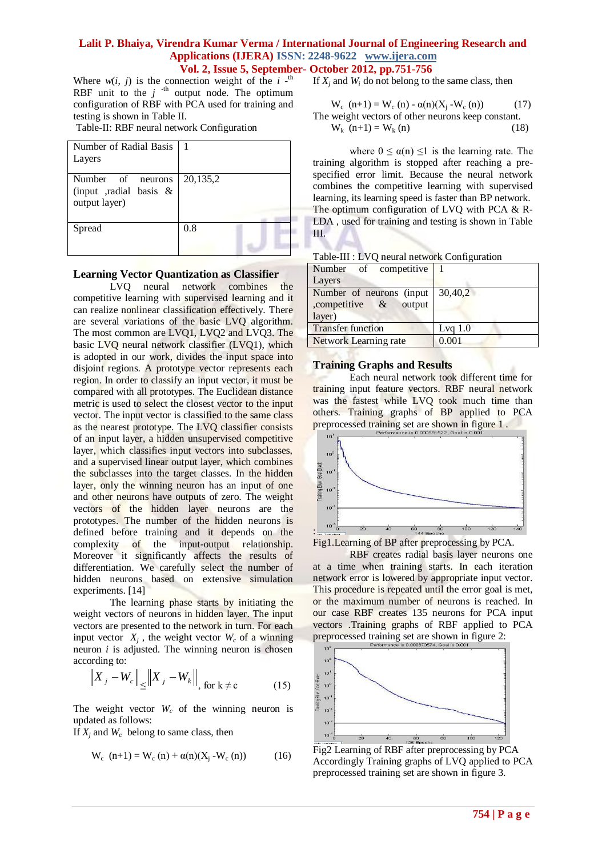Where  $w(i, j)$  is the connection weight of the  $i$ <sup>-th</sup> RBF unit to the  $j$ <sup>-th</sup> output node. The optimum configuration of RBF with PCA used for training and testing is shown in Table II.

Table-II: RBF neural network Configuration

| Number of Radial Basis<br>Layers                             | $\mathbf{1}$ |
|--------------------------------------------------------------|--------------|
| Number of neurons<br>(input ,radial basis &<br>output layer) | 20,135,2     |
| Spread                                                       | 0.8          |

#### **Learning Vector Quantization as Classifier**

LVQ neural network combines the competitive learning with supervised learning and it can realize nonlinear classification effectively. There are several variations of the basic LVQ algorithm. The most common are LVQ1, LVQ2 and LVQ3. The basic LVQ neural network classifier (LVQ1), which is adopted in our work, divides the input space into disjoint regions. A prototype vector represents each region. In order to classify an input vector, it must be compared with all prototypes. The Euclidean distance metric is used to select the closest vector to the input vector. The input vector is classified to the same class as the nearest prototype. The LVQ classifier consists of an input layer, a hidden unsupervised competitive layer, which classifies input vectors into subclasses, and a supervised linear output layer, which combines the subclasses into the target classes. In the hidden layer, only the winning neuron has an input of one and other neurons have outputs of zero. The weight vectors of the hidden layer neurons are the prototypes. The number of the hidden neurons is defined before training and it depends on the complexity of the input-output relationship. Moreover it significantly affects the results of differentiation. We carefully select the number of hidden neurons based on extensive simulation experiments. [14]

The learning phase starts by initiating the weight vectors of neurons in hidden layer. The input vectors are presented to the network in turn. For each input vector  $X_j$ , the weight vector  $W_c$  of a winning neuron *i* is adjusted. The winning neuron is chosen according to:

$$
\left\|X_j - W_c\right\|_{\leq} \left\|X_j - W_k\right\|, \text{ for } k \neq c \tag{15}
$$

The weight vector  $W_c$  of the winning neuron is updated as follows:

If  $X_j$  and  $W_c$  belong to same class, then

$$
W_c (n+1) = W_c (n) + \alpha(n)(X_j - W_c (n))
$$
 (16)

If *X<sup>j</sup>* and *W<sup>i</sup>* do not belong to the same class, then

$$
W_c (n+1) = W_c (n) - \alpha(n)(X_j - W_c (n))
$$
 (17)  
The weight vectors of other neurons keep constant.  

$$
W_k (n+1) = W_k (n)
$$
 (18)

where  $0 \le \alpha(n) \le 1$  is the learning rate. The training algorithm is stopped after reaching a prespecified error limit. Because the neural network combines the competitive learning with supervised learning, its learning speed is faster than BP network. The optimum configuration of LVQ with PCA & R-LDA , used for training and testing is shown in Table III.

| Number of competitive               |         |
|-------------------------------------|---------|
| Layers                              |         |
| Number of neurons (input)           | 30,40,2 |
| , competitive<br>$\alpha$<br>output |         |
| layer)                              |         |
| <b>Transfer function</b>            | Lvq1.0  |
| Network Learning rate               | 0.001   |

Table-III : LVQ neural network Configuration

#### **Training Graphs and Results**

Each neural network took different time for training input feature vectors. RBF neural network was the fastest while LVQ took much time than others. Training graphs of BP applied to PCA preprocessed training set are shown in figure 1.



Fig1.Learning of BP after preprocessing by PCA.

RBF creates radial basis layer neurons one at a time when training starts. In each iteration network error is lowered by appropriate input vector. This procedure is repeated until the error goal is met, or the maximum number of neurons is reached. In our case RBF creates 135 neurons for PCA input vectors .Training graphs of RBF applied to PCA preprocessed training set are shown in figure 2:



Fig2 Learning of RBF after preprocessing by PCA Accordingly Training graphs of LVQ applied to PCA preprocessed training set are shown in figure 3.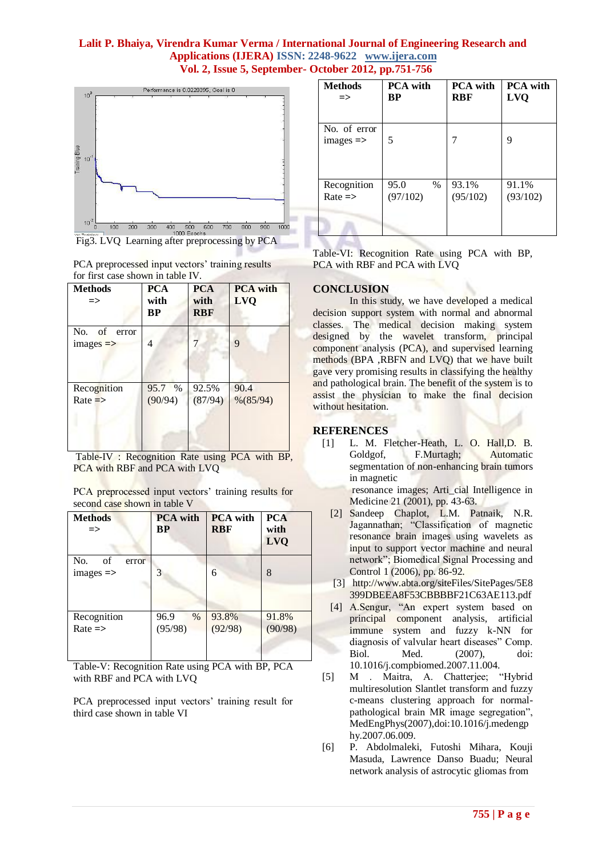

Fig3. LVQ Learning after preprocessing by PCA

PCA preprocessed input vectors' training results for first case shown in table IV.

| <b>Methods</b><br>$\Rightarrow$   | <b>PCA</b><br>with<br>BP | <b>PCA</b><br>with<br><b>RBF</b> | <b>PCA</b> with<br>LVQ |
|-----------------------------------|--------------------------|----------------------------------|------------------------|
| No. of error<br>$images \equiv >$ | 4                        |                                  | 9                      |
| Recognition<br>$Rate = >$         | 95.7 %<br>(90/94)        | 92.5%<br>(87/94)                 | 90.4<br>% (85/94)      |

Table-IV : Recognition Rate using PCA with BP, PCA with RBF and PCA with LVQ

PCA preprocessed input vectors' training results for second case shown in table V

| <b>Methods</b><br>$\Rightarrow$            | <b>PCA</b> with<br>BP            | <b>PCA</b> with<br><b>RBF</b> | <b>PCA</b><br>with<br>LVQ |
|--------------------------------------------|----------------------------------|-------------------------------|---------------------------|
| No.<br>of<br>error<br>$images \Rightarrow$ | 3                                | 6                             | 8                         |
| Recognition<br>$Rate =$                    | 96.9<br>$\frac{0}{0}$<br>(95/98) | 93.8%<br>(92/98)              | 91.8%<br>(90/98)          |

Table-V: Recognition Rate using PCA with BP, PCA with RBF and PCA with LVQ

PCA preprocessed input vectors' training result for third case shown in table VI

| <b>Methods</b><br>$\Rightarrow$      | <b>PCA</b> with<br>ВP    | <b>PCA</b> with<br><b>RBF</b> | <b>PCA</b> with<br>LVQ |
|--------------------------------------|--------------------------|-------------------------------|------------------------|
| No. of error<br>$images \Rightarrow$ | 5                        |                               | 9                      |
| Recognition<br>$Rate =$              | 95.0<br>$\%$<br>(97/102) | 93.1%<br>(95/102)             | 91.1%<br>(93/102)      |

Table-VI: Recognition Rate using PCA with BP, PCA with RBF and PCA with LVQ

# **CONCLUSION**

In this study, we have developed a medical decision support system with normal and abnormal classes. The medical decision making system designed by the wavelet transform, principal component analysis (PCA), and supervised learning methods (BPA ,RBFN and LVQ) that we have built gave very promising results in classifying the healthy and pathological brain. The benefit of the system is to assist the physician to make the final decision without hesitation.

# **REFERENCES**

[1] L. M. Fletcher-Heath, L. O. Hall, D. B. Goldgof, F.Murtagh; Automatic segmentation of non-enhancing brain tumors in magnetic

 resonance images; Arti\_cial Intelligence in Medicine 21 (2001), pp. 43-63.

- [2] Sandeep Chaplot, L.M. Patnaik, N.R. Jagannathan; "Classification of magnetic resonance brain images using wavelets as input to support vector machine and neural network"; Biomedical Signal Processing and Control 1 (2006), pp. 86-92.
- [3] http://www.abta.org/siteFiles/SitePages/5E8 399DBEEA8F53CBBBBF21C63AE113.pdf
- [4] A.Sengur, "An expert system based on principal component analysis, artificial immune system and fuzzy k-NN for diagnosis of valvular heart diseases" Comp. Biol. Med. (2007), doi: 10.1016/j.compbiomed.2007.11.004.
- [5] M . Maitra, A. Chatterjee; "Hybrid multiresolution Slantlet transform and fuzzy c-means clustering approach for normalpathological brain MR image segregation", MedEngPhys(2007),doi:10.1016/j.medengp hy.2007.06.009.
- [6] P. Abdolmaleki, Futoshi Mihara, Kouji Masuda, Lawrence Danso Buadu; Neural network analysis of astrocytic gliomas from